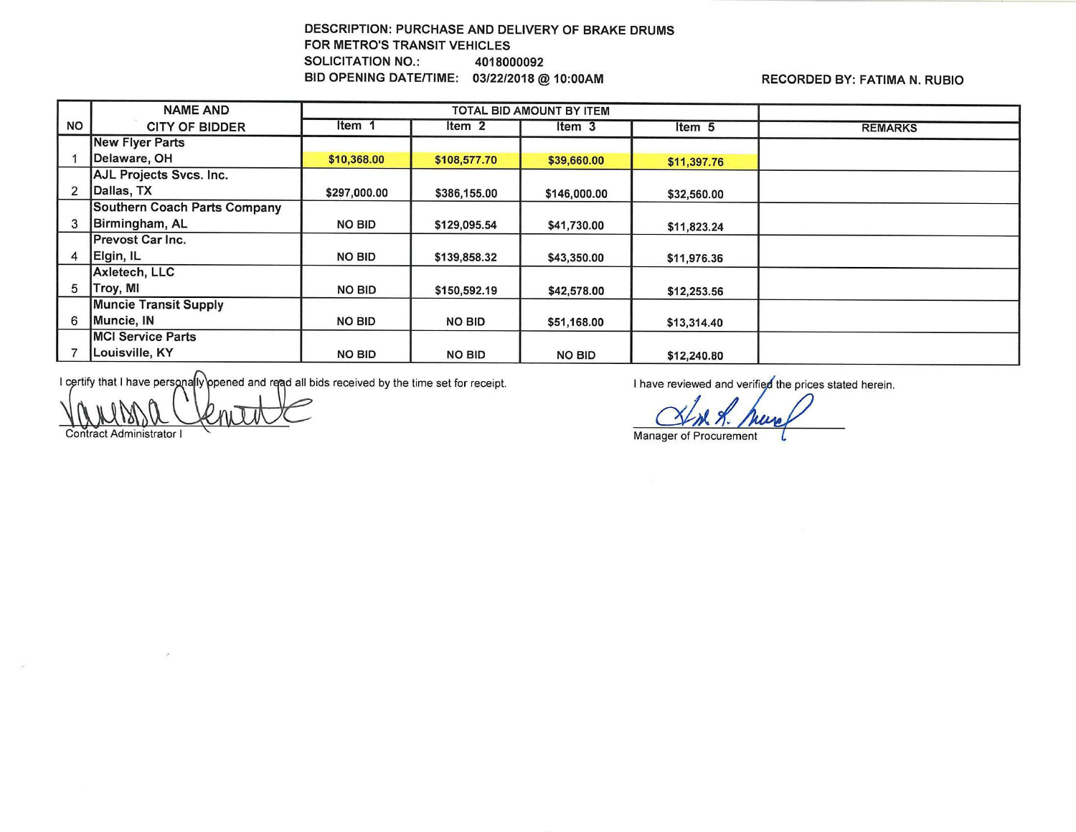## DESCRIPTION: PURCHASE AND DELIVERY OF BRAKE DRUMS FOR METRO'S TRANSIT VEHICLES SOLICITATION NO.: 4018000092 BID OPENING DATE/TIME: 03/22/2018 @ 10:00AM RECORDED BY: FATIMA N. RUBIO

|                          | <b>NAME AND</b>              | TOTAL BID AMOUNT BY ITEM |                   |               |             |                |
|--------------------------|------------------------------|--------------------------|-------------------|---------------|-------------|----------------|
| <b>NO</b>                | <b>CITY OF BIDDER</b>        | Item 1                   | Item <sub>2</sub> | ltem 3        | Item 5      | <b>REMARKS</b> |
|                          | New Flyer Parts              |                          |                   |               |             |                |
|                          | Delaware, OH                 | \$10,368.00              | \$108,577.70      | \$39,660.00   | \$11,397.76 |                |
|                          | AJL Projects Svcs. Inc.      |                          |                   |               |             |                |
| $\overline{\phantom{a}}$ | Dallas, TX                   | \$297,000.00             | \$386,155.00      | \$146,000.00  | \$32,560.00 |                |
|                          | Southern Coach Parts Company |                          |                   |               |             |                |
|                          | Birmingham, AL               | NO BID                   | \$129,095.54      | \$41,730.00   | \$11,823.24 |                |
|                          | <b>IPrevost Car Inc.</b>     |                          |                   |               |             |                |
| 4                        | Elgin, IL                    | <b>NO BID</b>            | \$139,858.32      | \$43,350.00   | \$11,976.36 |                |
|                          | Axletech, LLC                |                          |                   |               |             |                |
| 5                        | Troy, MI                     | <b>NO BID</b>            | \$150,592.19      | \$42,578.00   | \$12,253.56 |                |
|                          | <b>Muncie Transit Supply</b> |                          |                   |               |             |                |
| 6                        | Muncie, IN                   | <b>NO BID</b>            | <b>NO BID</b>     | \$51,168.00   | \$13,314.40 |                |
|                          | MCI Service Parts            |                          |                   |               |             |                |
|                          | Louisville, KY               | <b>NO BID</b>            | <b>NO BID</b>     | <b>NO BID</b> | \$12,240.80 |                |

I certify that I have personally opened and read all bids received by the time set for receipt.

Administrator I

 $\epsilon$ 

I have reviewed and verified the prices stated herein.

.

**Manager of Procurement**